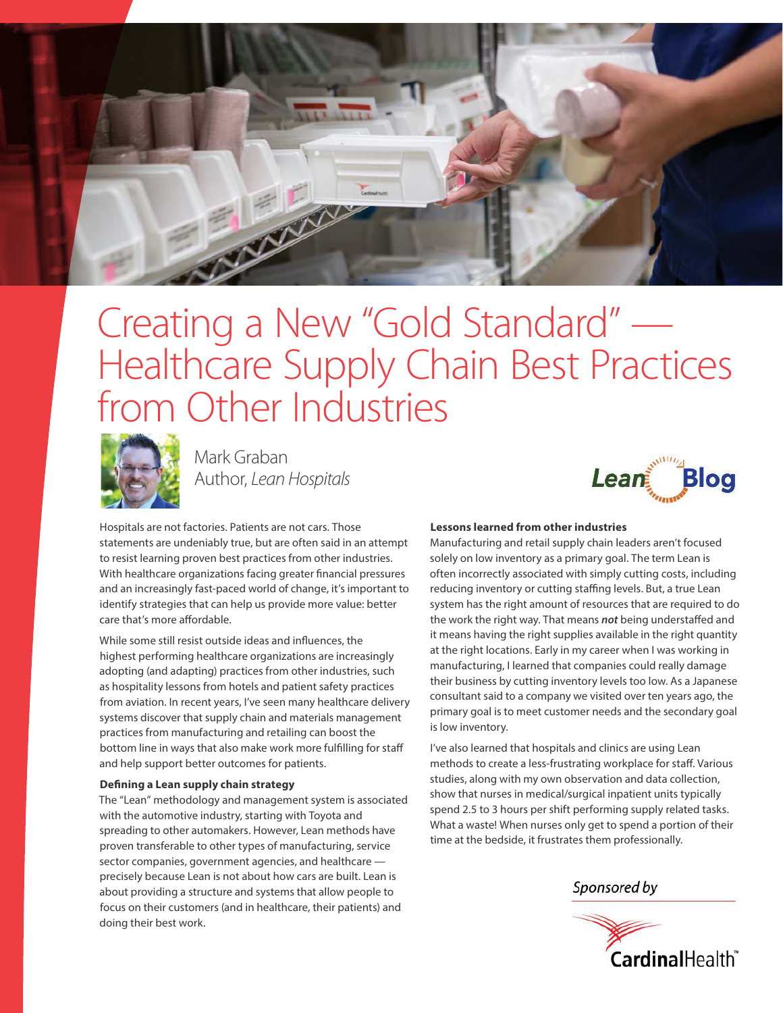

## Creating a New "Gold Standard" — Healthcare Supply Chain Best Practices from Other Industries



Mark Graban Author, Lean Hospitals

**Blog** Leani

Hospitals are not factories. Patients are not cars. Those statements are undeniably true, but are often said in an attempt to resist learning proven best practices from other industries. With healthcare organizations facing greater financial pressures and an increasingly fast-paced world of change, it's important to identify strategies that can help us provide more value: better care that's more affordable.

While some still resist outside ideas and influences, the highest performing healthcare organizations are increasingly adopting (and adapting) practices from other industries, such as hospitality lessons from hotels and patient safety practices from aviation. In recent years, I've seen many healthcare delivery systems discover that supply chain and materials management practices from manufacturing and retailing can boost the bottom line in ways that also make work more fulfilling for staff and help support better outcomes for patients.

## **Defining a Lean supply chain strategy**

The "Lean" methodology and management system is associated with the automotive industry, starting with Toyota and spreading to other automakers. However, Lean methods have proven transferable to other types of manufacturing, service sector companies, government agencies, and healthcare precisely because Lean is not about how cars are built. Lean is about providing a structure and systems that allow people to focus on their customers (and in healthcare, their patients) and doing their best work.

## **Lessons learned from other industries**

Manufacturing and retail supply chain leaders aren't focused solely on low inventory as a primary goal. The term Lean is often incorrectly associated with simply cutting costs, including reducing inventory or cutting staffing levels. But, a true Lean system has the right amount of resources that are required to do the work the right way. That means **not** being understaffed and it means having the right supplies available in the right quantity at the right locations. Early in my career when I was working in manufacturing, I learned that companies could really damage their business by cutting inventory levels too low. As a Japanese consultant said to a company we visited over ten years ago, the primary goal is to meet customer needs and the secondary goal is low inventory.

I've also learned that hospitals and clinics are using Lean methods to create a less-frustrating workplace for staff. Various studies, along with my own observation and data collection, show that nurses in medical/surgical inpatient units typically spend 2.5 to 3 hours per shift performing supply related tasks. What a waste! When nurses only get to spend a portion of their time at the bedside, it frustrates them professionally.

Sponsored by